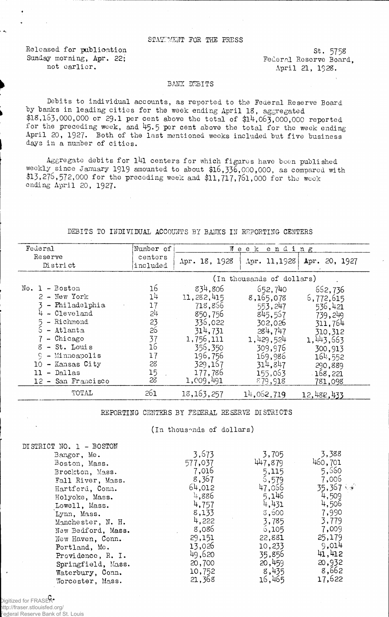## STATTMENT FOR THE PRESS

Released for publioation Sunday morning, Apr. 22; not earlier.

st. 575s Federal Reserve Board, April 21, 1928.

## BANK DEBITS

Debits to individual accounts, as reported to the Federal Reserve Board by banks in leading cities for the week ending April 18, aggregated \$18,163,000,000 or 29.I per cent above the total of \$l4,063,000,000 reported for the preceding week, and 45.5 per cent above the total for the week ending April 20, 1927. Both of the last mentioned weeks included but five business days in a number of cities.

Aggregate debits for l4l centers for which figures have been published weekly since January 1919 amounted to about \$16,336,000,000, as compared with \$13,276,572,000 for the preceding week and \$11,717,761,000 for the week ending April 20, 1927.

## DEBITS TO INDIVIDUAL ACCOUNTS BY BANKS IN REPORTING CENTERS

| Federal                                                                                                                                                                                                   | Number of                                                                        |                                                                                                                                         | Wеек<br>ending                                                                                                                        |                                                                                                                                           |
|-----------------------------------------------------------------------------------------------------------------------------------------------------------------------------------------------------------|----------------------------------------------------------------------------------|-----------------------------------------------------------------------------------------------------------------------------------------|---------------------------------------------------------------------------------------------------------------------------------------|-------------------------------------------------------------------------------------------------------------------------------------------|
| Reserve<br>District                                                                                                                                                                                       | centers<br>included                                                              | Apr. 18, 1928                                                                                                                           | Apr. 11,1928                                                                                                                          | Apr. 20, 1927                                                                                                                             |
|                                                                                                                                                                                                           |                                                                                  |                                                                                                                                         | (In thousands of dollars)                                                                                                             |                                                                                                                                           |
| $No. 1 - Boston$<br>$2 - New York$<br>- Philadelphia<br>- Cleveland<br>- Richmond<br>- Atlanta<br>- Chicago<br>- St. Louis<br>g<br>- Minneapolis<br>- Kansas City<br>10<br>- Dallas<br>12 - San Francisco | 16<br>1 <sup>1</sup><br>17<br>24<br>23<br>26<br>37<br>16<br>17<br>28<br>15<br>28 | 834,806<br>11,282,415<br>718,866<br>850,756<br>336,022<br>314,731<br>1,756,111<br>356,350<br>196,756<br>329,167<br>177,786<br>1,009,491 | 652,740<br>8,165,078<br>553, 247<br>845,557<br>302,026<br>284,747<br>1,429,524<br>309,976<br>169,986<br>314.847<br>155,063<br>879,918 | 652,736<br>6,772,615<br>536,421<br>739,249<br>311,764<br>310,312<br>1, 443, 663<br>300,913<br>164,552<br>290,889<br>$-168,221$<br>781,098 |
| TOTAL                                                                                                                                                                                                     | 261                                                                              | 18, 163, 257                                                                                                                            | 14,062,719                                                                                                                            | 12,482,433                                                                                                                                |

## REPORTING CENTERS BY FEDERAL RESERVE DISTRICTS

(In thousands of dollars)

| DISTRICT NO. 1 - BOSTON |         |         |                     |
|-------------------------|---------|---------|---------------------|
| Bangor, Me.             | 3,673   | 3,705   | 3,388               |
| Boston, Mass.           | 577,037 | 447.879 | 460,701             |
| Brockton, Mass.         | 7,016   | 5,115   | 5,560               |
| Fall River, Mass.       | 8,367   | 5,579   | 7,006               |
| Hartford, Conn.         | 64,012  | 47,066  | $35,367$ $\sqrt{*}$ |
| Holyoke, Mass.          | 4,886   | 5,146   | 4,509               |
| Lowell, Mass.           | 4,757   | 4,431   | 4,506               |
| Lynn, Mass.             | 8,133   | 3,500   | 7,990               |
| Manchester, N. H.       | 4,222   | 3,785   | 3,779               |
| New Bedford, Mass.      | 8,086   | 6,105   | 7,009               |
| New Haven, Conn.        | 29,151  | 22,881  | 25,179              |
| Portland, Me.           | 13,026  | 10,233  | 9,014               |
| Providence, R. I.       | 49,620  | 35,856  | 41,412              |
| Springfield, Mass.      | 20,700  | 20,459  | 20,932              |
| Waterbury, Conn.        | 10,752  | 8,435   | 8,662               |
| Worcester, Mass.        | 21,368  | 16,465  | 17,622              |

Digitized for FRASER<sup>®</sup> http://fraser.stlouisfed.org/ Federal Reserve Bank of St. Louis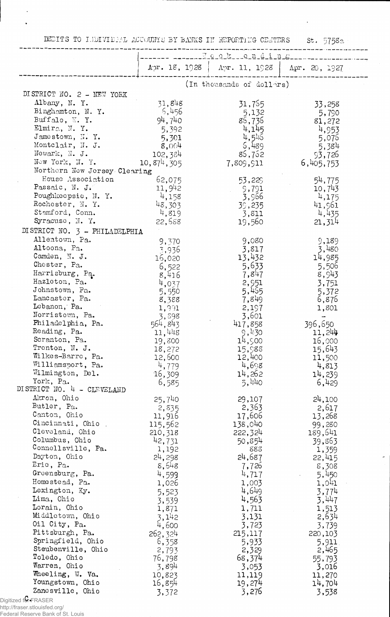DEDITS TO I-HDIVIDEAL ACCOUNTS BY BANKS IN REPORTENG CENTERS St. 5758a

 $\mathbf{r}$ 

|                                       | Foot-chding      |                           |                     |
|---------------------------------------|------------------|---------------------------|---------------------|
|                                       | Apr. 18, 1928    | Apr. 11, 1923             | Apr. 20, 1927       |
|                                       |                  | (In thousands of dollars) |                     |
| DISTRICT NO. 2 - NEW YORK             |                  |                           |                     |
| Albany, N. Y.                         | 31,848           | 31,755                    | 33,258              |
| Binghamton, N.Y.                      | 5,456            | 5,132                     | 5,790               |
| Buffalo, $N. Y.$                      | 94,740           | 85,736                    | 81,272              |
| Elmira, N.Y.<br>Jamestown, N.Y.       | 5,392            | 4,145                     | 4,953               |
| Montclair, N. J.                      | 5,301            | 4,545<br>5,489            | 5,076               |
| Newark, N. J.                         | 8,004<br>102,384 | 85,752                    | 5,384               |
| New York, N. Y.                       | 10,874,305       | 7,809,911                 | 93,726<br>6,405,753 |
| Northern New Jersey Clearing          |                  |                           |                     |
| House Association                     | 62,075           | 53,229                    | 54,775              |
| Passaic, N. J.                        | 11,942           | 9,791                     | 10,743              |
| Poughkeepsie, N. Y.                   | 4,158            | 3,966                     | 4,175               |
| Rochester, N.Y.                       | 48,303           | 39,235                    | 41,961              |
| Stamford, Conn.                       | 4,819            | 3,811                     | 4,435               |
| Syracuse, N.Y.                        | 22,688           | 19,560                    | 21,314              |
| DISTRICT NO. 3 - PHILADELPHIA         |                  |                           |                     |
| Allentown, Pa.                        | 9,370            | 9,080                     | 9,189               |
| Altoona, Pa.                          | 3,936            | 3,817                     | 3,480               |
| Camden, N. J.                         | 16,020           | 13,432                    | 14,985              |
| Chester, Pa.                          | 6,522            | 5,633                     | 5,506               |
| Harrisburg, Pa.                       | 8,416            | 7,847                     | 8,943               |
| Hazleton, Pa.                         | 4,037            | 2,951                     | 3,751               |
| Johnstown, Pa.                        | 5,550            | 5,455                     | 5,372               |
| Lancaster, Pa.                        | 8,388            | 7,849                     | 6,876               |
| Lebanon, Pa.                          | 1,991            | 2,197                     | 1,801               |
| Norristown, Pa.                       | 3,898            | 3,601                     |                     |
| Philadelphia, Pa.                     | 564, 843         | 417,858                   | 396,650             |
| Reading, Pa.                          | 11,448           | 9,430                     | 11,244              |
| Scranton, Pa.                         | 19,800           | 14,500                    | 16,000              |
| Trenton, N. J.                        | 18,272           | 15,988                    | 15,643              |
| Wilkes-Barre, Pa.                     | 12,600           | 12,400                    | 11,500              |
| Williamsport, Pa.<br>Wilmington, Del. | 4,779            | 4,698                     | 4,813               |
| York, Pa.                             | 16,309           | 14,262                    | 14,239              |
| DISTRICT NO. 4 - CLEVELAND            | 6,585            | 5,440                     | 6,429               |
| Akron, Ohio                           | 25,740           | 29,107                    | 24,100              |
| Butler, Pa.                           |                  | 2,363                     | 2,617               |
| Canton, Ohio                          | 2,835<br>11,916  | 17,606                    | 13,268              |
| Cincinnati, Ohio                      | 115,562          | 138,040                   | 99,280              |
| Cleveland, Ohio                       | 210, 318         | 222,324                   | 189,641             |
| Columbus, Ohio                        | 42,731           | 50,854                    | 39,863              |
| Connellsville, Pa.                    | 1,192            | 883                       | 1,359               |
| Dayton, Ohio                          | 24,298           | 24,687                    | 22,415              |
| Erie, Pa.                             | 8,648            | 7,726                     | 8,308               |
| Greensburg, Pa.                       | 4,599            | 4,717                     | 5,450               |
| Homestead, Pa.                        | 1,026            | 1,003                     | 1,0 <sup>1</sup> 1  |
| Lexington, Ky.                        | 5,523            | 4,649                     | 3,774               |
| Lima, Ohio                            | 3,539            | 4,563                     | 3,447               |
| Lorain, Ohio                          | 1,871            | 1,711                     | 1,513               |
| Middletown, Ohio                      | 3,142            | 3,131                     | 2,634               |
| Oil City, Pa.                         | 4,600            | 3,723                     | 3,739               |
| Pittsburgh, Pa.                       | 262,324          | 215,117                   | 220,103             |
| Springfield, Ohio                     | 6,358            | 5,933                     | 5,911               |
| Steubenville, Ohio                    | 2,793            | 2,329                     | 2,465               |
| Toledo, Ohio                          | 76,798           | 68,374                    | 55,793              |
| Warren, Ohio                          | 3,894            | 3,053                     | 3,016               |
| Wheeling, W. Va.                      | 10,823           | 11,119                    | 11,270              |
| Youngstown, Ohio                      | 16,854           | 19,274                    | 14,704              |
| Zancsville, Ohio                      | 3,372            | 3,276                     | 3,538               |
| Digitized for FRASER                  |                  |                           |                     |

http://fraser.stlouisfed.org/ Federal Reserve Bank of St. Louis

÷,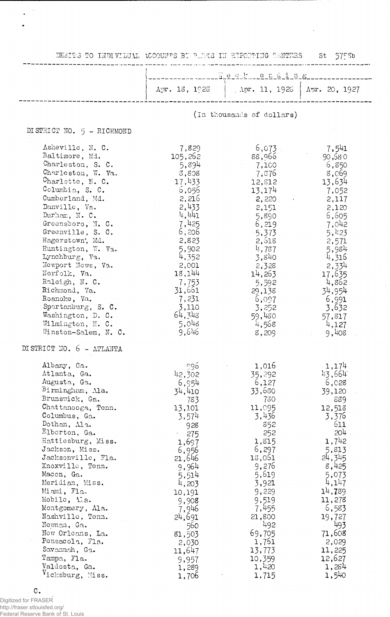|  | DEBITS TO INDIVIDUAL ACCOUNTS BT B.MKS IN REPORTING GENTERS |  |  |  |  |  |
|--|-------------------------------------------------------------|--|--|--|--|--|
|--|-------------------------------------------------------------|--|--|--|--|--|

St 575Sb

 $\frac{1}{2}$ 

 $\sim 10^{-11}$ 

|                                                                                                                                                                                                                                                                                                                                                                                                                                                                |                                                                                                                                                                                                                             | Les se la partidina de la partidina de la partidina de la partidina de la partidina de la partidina del partidi                                                                                                               |                                                                                                                                                                                                                                 |
|----------------------------------------------------------------------------------------------------------------------------------------------------------------------------------------------------------------------------------------------------------------------------------------------------------------------------------------------------------------------------------------------------------------------------------------------------------------|-----------------------------------------------------------------------------------------------------------------------------------------------------------------------------------------------------------------------------|-------------------------------------------------------------------------------------------------------------------------------------------------------------------------------------------------------------------------------|---------------------------------------------------------------------------------------------------------------------------------------------------------------------------------------------------------------------------------|
|                                                                                                                                                                                                                                                                                                                                                                                                                                                                |                                                                                                                                                                                                                             | Apr. 13, 1925   Apr. 11, 1925   Apr. 20, 1927                                                                                                                                                                                 |                                                                                                                                                                                                                                 |
|                                                                                                                                                                                                                                                                                                                                                                                                                                                                |                                                                                                                                                                                                                             | (In thousands of dollars)                                                                                                                                                                                                     |                                                                                                                                                                                                                                 |
| DISTRICT NO. 5 - RICHMOND                                                                                                                                                                                                                                                                                                                                                                                                                                      |                                                                                                                                                                                                                             |                                                                                                                                                                                                                               |                                                                                                                                                                                                                                 |
| Asheville, N. C.<br>Baltimore, Md.<br>Charleston, S. C.<br>Charleston, W. Va.<br>Charlotte, N. C.<br>Columbia, S. C.<br>Cumberland, Md.<br>Danville, Va.<br>Durham, N. C.<br>Greensboro, N. C.<br>Greenville, S. C.<br>Hagerstown, Md.<br>Huntington, W. Va.<br>Lynchburg, Va.<br>Newport News, Va.<br>Norfolk, Va.<br>Raleigh, N. C.<br>Richmond, Va.<br>Roanoke, Va.<br>Spartanburg, S. C.<br>Washington, D. C.<br>Wilmington, N. C.<br>Winston-Salem, N. C. | 7,829<br>105,262<br>5,894<br>3,808<br>17,433<br>6,056<br>2,216<br>2,433<br>4,441<br>7,425<br>6,206<br>2,823<br>5,902<br>4,352<br>2,001<br>18,144<br>7,753<br>31,661<br>7,231<br>3,110<br>64,343<br>5,048<br>9,646           | $6,073$ .<br>88,966<br>7,100<br>7,876<br>12,812<br>13,174<br>2,220<br>2,151<br>5,890<br>6,219<br>5,373<br>2,518<br>4,787<br>3,840<br>2,328<br>14,263<br>5,592<br>29,138<br>6,097<br>3,252<br>59,480<br>4,568<br>8,209         | 7,541<br>90,580<br>6,850<br>8,069<br>13,634<br>7,052<br>2,117<br>2,120<br>6,605<br>7,042<br>5,423<br>2,571<br>5,984<br>4,316<br>2,334<br>17,635<br>4,862<br>34,954<br>6,991<br>3,632<br>57,817<br>4,127<br>9,408                |
| DI STRICT NO. 6 - ATLANTA                                                                                                                                                                                                                                                                                                                                                                                                                                      |                                                                                                                                                                                                                             |                                                                                                                                                                                                                               |                                                                                                                                                                                                                                 |
| Albany, Ga.<br>Atlanta, Ga.<br>Augusta, Ga.<br>Birmingham, Ma.<br>Brunswick, Ga.<br>Chattanooga, Tenn.<br>Columbus, Ga.<br>Dothan, Ala.<br>Elberton, Ga.<br>Hattiesburg, Miss.<br>Jackson, Miss.<br>Jacksonville, Fla.<br>Knoxville, Tenn.<br>Macon, Ga.<br>Meridian, Miss.<br>Miami, Fla.<br>Mobile, Ala.<br>Montgomery, Ala.<br>Nashville, Tenn.<br>Newman, Ga.<br>New Orleans, La.<br>Pensacola, Fla.<br>Savannah, Ga.<br>Tampa, Fla.<br>Valdosta, Ga.      | 996<br>42,302<br>6,954<br>34,410<br>783<br>13,101<br>3,574<br>928<br>275<br>1,697<br>6,956<br>21,646<br>9,964<br>5,514<br>4,203<br>10,191<br>9,908<br>7,946<br>24,691<br>560<br>81,503<br>2,030<br>11,647<br>9,957<br>1,289 | 1,016<br>35,292<br>6,127<br>33,680<br>730<br>11,095<br>3,436<br>852<br>252<br>1,815<br>6,297<br>18,061<br>9,276<br>5,619<br>3,921<br>9,229<br>9,519<br>7,455<br>21,800<br>492<br>69,705<br>1,761<br>13,773<br>10,359<br>1,420 | 1,174<br>43,664<br>6,028<br>39,120<br>889<br>12,513<br>3,376<br>611<br>204<br>1,742<br>5,813<br>24,345<br>8,425<br>5,073<br>4,147<br>14,789<br>11,278<br>6,583<br>19,727<br>493<br>71,608<br>2,029<br>11,225<br>12,627<br>1,284 |

1,706

1,715

1,54)

 $\mathtt{C}$  .

 $\frac{1}{2}$ 

 $\ddot{\phantom{0}}$ 

Digitized for FRASER http://fraser.stlouisfed.org/ Federal Reserve Bank of St. Louis

Vicksburg, Miss.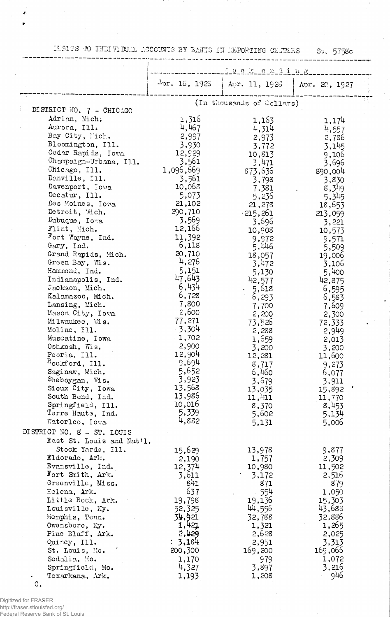.<br>ISBIFS TO INDIVIDULL ACCOUNTS BY BANKS IN ELPORTING OENTERS 57, 5758c

 $\overline{1}$ 

. . . . . . . . . . . . .

|                                                                                                                                                                                                                                                                                                                                                                                                                                                                                                                                                                                                                                                                                                                                                  |                                                                                                                                                                                                                                                                                                                                                                | Teer team 1 ing                                                                                                                                                                                                                                                                                                                                           |                                                                                                                                                                                                                                                                                                                                                                        |
|--------------------------------------------------------------------------------------------------------------------------------------------------------------------------------------------------------------------------------------------------------------------------------------------------------------------------------------------------------------------------------------------------------------------------------------------------------------------------------------------------------------------------------------------------------------------------------------------------------------------------------------------------------------------------------------------------------------------------------------------------|----------------------------------------------------------------------------------------------------------------------------------------------------------------------------------------------------------------------------------------------------------------------------------------------------------------------------------------------------------------|-----------------------------------------------------------------------------------------------------------------------------------------------------------------------------------------------------------------------------------------------------------------------------------------------------------------------------------------------------------|------------------------------------------------------------------------------------------------------------------------------------------------------------------------------------------------------------------------------------------------------------------------------------------------------------------------------------------------------------------------|
|                                                                                                                                                                                                                                                                                                                                                                                                                                                                                                                                                                                                                                                                                                                                                  | $\Lambda$ pr. 18, 1926                                                                                                                                                                                                                                                                                                                                         | Apr. 11, 1923                                                                                                                                                                                                                                                                                                                                             | Apr. 20, 1927                                                                                                                                                                                                                                                                                                                                                          |
|                                                                                                                                                                                                                                                                                                                                                                                                                                                                                                                                                                                                                                                                                                                                                  |                                                                                                                                                                                                                                                                                                                                                                | (In thousands of dollars)                                                                                                                                                                                                                                                                                                                                 |                                                                                                                                                                                                                                                                                                                                                                        |
| DISTRICT NO. 7 - CHICAGO<br>Adrian, Mich.<br>Aurora, Ill.<br>Bay City, Mich.<br>Bloomington, Ill.<br>Cedar Rapids, Iowa<br>Champaign-Urbana, Ill.<br>Chicago, Ill.<br>Danville, Ill.<br>Davenport, Iowa<br>Decatur, Ill.<br>Des Moines, Iowa<br>Detroit, Mich.<br>Dubuque, Iowa<br>Flint, Mich.<br>Fort Wayne, Ind.<br>Gary, Ind.<br>Grand Rapids, Mich.<br>Green Bay, Wis.<br>Hammond, Ind.<br>Indianapolis, Ind.<br>Jackson, Mich.<br>Kalamazoo, Mich.<br>Lansing, Mich.<br>Mason City, Iowa<br>Milwaukee, Wis.<br>Moline, Ill.<br>Muscatine, Iowa<br>Oshkosh, Wis.<br>Peoria, Ill.<br>Rockford, Ill.<br>Saginaw, Mich.<br>Sheboygan, Wis.<br>Sioux City, Iowa<br>South Bend, Ind.<br>Springfield, Ill.<br>Terre Haute, Ind.<br>Waterloo, Iowa | 1,316<br>4,467<br>2,997<br>3,930<br>12,929<br>3,561<br>1,096,669<br>3,561<br>10,068<br>5,073<br>21,102<br>290,710<br>3,569<br>12,166<br>11,392<br>6,118<br>20,710<br>4,276<br>5,151<br>47,643<br>6,434<br>6,728<br>7,800<br>2,600<br>77,271<br>$-3,304$<br>1,702<br>2,900<br>12,904<br>9,694<br>5,652<br>3,923<br>13,568<br>13,986<br>10,016<br>5,339<br>4,882 | 1,163<br>4,314<br>2,973<br>3,772<br>10,813<br>3,471<br>873,636<br>3,798<br>7,381<br>5,236<br>21,278<br>$-215,261$<br>3,696<br>10,908<br>9,972<br>5,446<br>18,057<br>3,472<br>5,130<br>42,577<br>5,618<br>6,293<br>7,700<br>2,200<br>73,526<br>2,288<br>1,659<br>3,200<br>12,281<br>8,717<br>6,460<br>3,679<br>13,035<br>11,411<br>8,370<br>5,602<br>5,131 | 1,174<br><sup>4</sup> ,557<br>2,786<br>3,145<br>9,106<br>3,696<br>890,004<br>3,830<br>$8,3^{19}$<br>5,345<br>18,653<br>213,059<br>3,221<br>10,573<br>9,571<br>5,509<br>19,006<br>3,106<br>5,400<br>42,875<br>6,595<br>6,583<br>7,609<br>2,300<br>72,333<br>2,949<br>2,013<br>3,200<br>11,600<br>9,273<br>6,077<br>3,911<br>15,892<br>11,770<br>8,453<br>5,134<br>5,006 |
| DISTRICT NO. 8 - ST. LOUIS<br>East St. Louis and Nat'l.                                                                                                                                                                                                                                                                                                                                                                                                                                                                                                                                                                                                                                                                                          |                                                                                                                                                                                                                                                                                                                                                                |                                                                                                                                                                                                                                                                                                                                                           |                                                                                                                                                                                                                                                                                                                                                                        |
| Stock Yards, Ill.<br>Eldorado, Ark.<br>Evansville, Ind.<br>Fort Smith, Ark.<br>Greenville, Miss.<br>Helena, Ark.<br>Little Rock, Ark.<br>Louisville, Ky.<br>Memphis, Tenn.<br>Owensboro, Ky.<br>Pine Bluff, Ark.<br>Quincy, Ill.<br>St. Louis, Mo.<br>Sedalia, Mo.<br>Springfield, Mo.<br>Texarkana, Ark.                                                                                                                                                                                                                                                                                                                                                                                                                                        | 15,629<br>2,190<br>12,374<br>3,611<br>841<br>637<br>19,798<br>52,325<br>34,921<br>1,421<br>2,429<br>: 3,184<br>200,300<br>1,170<br>4,327<br>1,193                                                                                                                                                                                                              | 13,978<br>1,757<br>10,980<br>3,172<br>871<br>554<br>19,136<br>44,556<br>32,788<br>1,321<br>2,628<br>2,951<br>169,200<br>979<br>3,897<br>1,208                                                                                                                                                                                                             | 9,877<br>2,309<br>11,502<br>2,516<br>879<br>1,050<br>15,303<br>43,688<br>32,886<br>1,265<br>2,025<br>3,313<br>169,066<br>1,072<br>3,216<br>946                                                                                                                                                                                                                         |

C.

Digitized for FRASER http://fraser.stlouisfed.org/ Federal Reserve Bank of St. Louis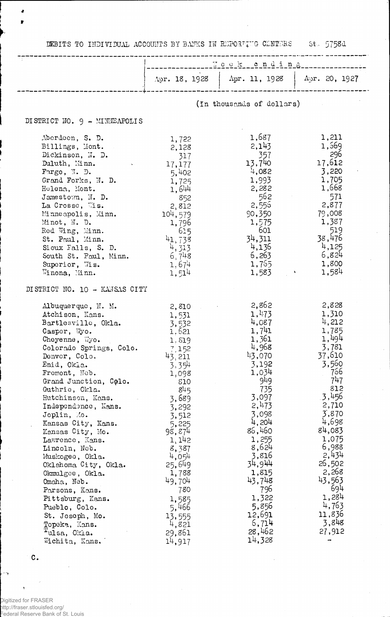DEBITS TO INDIVIDUAL ACCOUNTS BY BANKS IN REPORTING CENTERS St. 5758d

 $\overline{\phantom{a}}$ 

|                                                                                                                                                                                                                                                                                                                                                                                                                                                                                                                                                                                      | $\ldots$ $\ddot{a}$ o $\ddot{c}$ $\ddot{c}$ o $\ddot{c}$ o $\ddot{a}$ $\ddot{d}$ in $\ddot{c}$                                                                                                                                                                      |                                                                                                                                                                                                                                                                    |                                                                                                                                                                                                                                                        |
|--------------------------------------------------------------------------------------------------------------------------------------------------------------------------------------------------------------------------------------------------------------------------------------------------------------------------------------------------------------------------------------------------------------------------------------------------------------------------------------------------------------------------------------------------------------------------------------|---------------------------------------------------------------------------------------------------------------------------------------------------------------------------------------------------------------------------------------------------------------------|--------------------------------------------------------------------------------------------------------------------------------------------------------------------------------------------------------------------------------------------------------------------|--------------------------------------------------------------------------------------------------------------------------------------------------------------------------------------------------------------------------------------------------------|
|                                                                                                                                                                                                                                                                                                                                                                                                                                                                                                                                                                                      |                                                                                                                                                                                                                                                                     | $\Delta \text{pr. } 18, 1928$ $\Delta \text{pr. } 11, 1928$                                                                                                                                                                                                        | $\Lambda$ or. 20, 1927                                                                                                                                                                                                                                 |
|                                                                                                                                                                                                                                                                                                                                                                                                                                                                                                                                                                                      |                                                                                                                                                                                                                                                                     | (In thousands of dollars)                                                                                                                                                                                                                                          |                                                                                                                                                                                                                                                        |
| DISTRICT NO. 9 - MINTEAPOLIS                                                                                                                                                                                                                                                                                                                                                                                                                                                                                                                                                         |                                                                                                                                                                                                                                                                     |                                                                                                                                                                                                                                                                    |                                                                                                                                                                                                                                                        |
| Aberdoon, S. D.<br>Billings, Mont.<br>Dickinson, N. D.<br>Duluth, Minn.<br>Fargo, $\mathbb{Y}$ . D.<br>Grand Forks, N. D.<br>Helena, Mont.<br>Jamestown, N. D.<br>La Crosse, Wis.<br>Minneapolis, Minn.<br>Minot, N. D.<br>Red Wing, Minn.<br>St. Paul, Minn.<br>Sioux Falls, S. D.<br>South St. Paul, Minn.<br>Superior, Wis.<br>Winona, Minn.                                                                                                                                                                                                                                      | 1,722<br>2,128<br>317<br>17,177<br>5,402<br>1,725<br>1,644<br>852<br>2,812<br>104,579<br>1,796<br>615<br>41,738<br>4, 313<br>6,748<br>1,674<br>1,514                                                                                                                | 1,687<br>2,143<br>357<br>13,740<br>4,082<br>1,993<br>2,282<br>562<br>2,555<br>90,350<br>1,575<br>601<br>34,311<br>4,136<br>6,263<br>1,765<br>1,583                                                                                                                 | 1,211<br>1,569<br>- 296<br>17,612<br>3,220<br>1,705<br>1,668<br>571<br>2,877<br>79,008<br>1,387<br>- 519<br>38,476<br>4,125<br>6,824<br>1,800<br>1,584                                                                                                 |
| DISTRICT NO. 10 - KANSAS CITY                                                                                                                                                                                                                                                                                                                                                                                                                                                                                                                                                        |                                                                                                                                                                                                                                                                     |                                                                                                                                                                                                                                                                    |                                                                                                                                                                                                                                                        |
| Albuquerque, N. M.<br>Atchison, Kans.<br>Bartlesville, Okla.<br>Casper, Wyo.<br>Cheyenne, Wyo.<br>Colorado Springs, Colo.<br>Denver, Colo.<br>Enid, Okla.<br>Fremont, Neb.<br>Grand Junction, Colo.<br>Guthrie, Okla.<br>Hutchinson, Kans.<br>Independence, Kans.<br>Joplin, Mo.<br>Kansas City, Kans.<br>Kansas City, Mo.<br>Lawrence, Kans.<br>Lincoln, Neb.<br>Muskogeo, Okla.<br>Oklahoma City, Okla.<br>Okmulgee, Okla.<br>Omaha, Neb.<br>Parsons, Kans.<br>Pittsburg, Kans.<br>Pueblo, Colo.<br>St. Joseph, Mo.<br>Topeka, Kans.<br><sup>r</sup> ulsa, Okia.<br>Wichita, Kans. | 2,810<br>1,531<br>3,532<br>1,621<br>1.519<br>7.152<br>43, 211<br>3,354<br>1,098<br>810<br>845<br>3,689<br>3,292<br>3,512<br>5,225<br>98,874<br>1,142<br>8,387<br>4,054<br>25,649<br>1,788<br>49,704<br>780<br>1,585<br>5,466<br>13,555<br>4,821<br>29,861<br>14.917 | 2,862<br>1,473<br>4,087<br>1,741<br>1,361<br>4,968<br>43,070<br>3,192<br>1,034<br>949<br>735<br>3,097<br>2,473<br>3,098<br>4,204<br>86,460<br>1,255<br>8,624<br>3,816<br>34,944<br>1,815<br>43,748<br>796<br>1,322<br>5,856<br>12,691<br>6,714<br>28,462<br>14,328 | 2,828<br>1,310<br>4,212<br>1,785<br>1,494<br>3,781<br>37,610<br>3,560<br>766<br>747<br>812<br>3,456<br>2,710<br>3,870<br>4,698<br>84,083<br>1,075<br>6,988<br>2,434<br>26,502<br>2,268<br>43,563<br>694<br>1,284<br>4,763<br>11,836<br>3,848<br>27,912 |

 $\mathbf{c}$ .

 $\ddot{\phantom{0}}$ 

 $\ddot{\tau}$ 

×  $\bullet$ 

.<br>Digitized for FRASER<br>http://fraser.stlouisfed.org/<br>Federal Reserve Bank of St. Louis